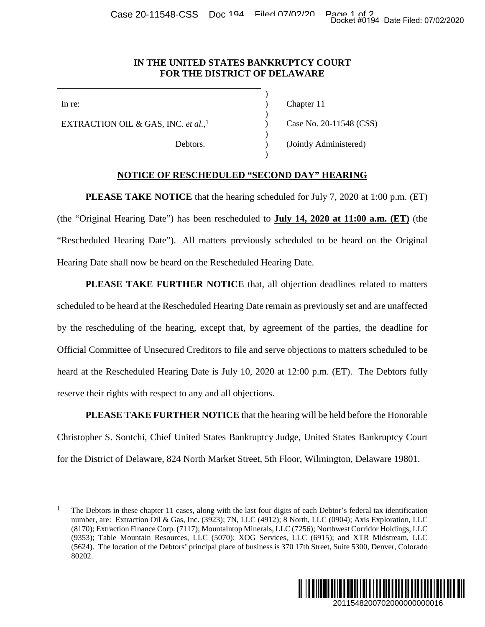## **IN THE UNITED STATES BANKRUPTCY COURT FOR THE DISTRICT OF DELAWARE**

)

)

)

)

EXTRACTION OIL & GAS, INC. *et al.*,

In re: (a) Chapter 11

[1](#page-0-0) Case No. 20-11548 (CSS)

Debtors. (Jointly Administered)

## **NOTICE OF RESCHEDULED "SECOND DAY" HEARING**

**PLEASE TAKE NOTICE** that the hearing scheduled for July 7, 2020 at 1:00 p.m. (ET) (the "Original Hearing Date") has been rescheduled to **July 14, 2020 at 11:00 a.m. (ET)** (the "Rescheduled Hearing Date"). All matters previously scheduled to be heard on the Original Hearing Date shall now be heard on the Rescheduled Hearing Date.

PLEASE TAKE FURTHER NOTICE that, all objection deadlines related to matters scheduled to be heard at the Rescheduled Hearing Date remain as previously set and are unaffected by the rescheduling of the hearing, except that, by agreement of the parties, the deadline for Official Committee of Unsecured Creditors to file and serve objections to matters scheduled to be heard at the Rescheduled Hearing Date is July 10, 2020 at 12:00 p.m. (ET). The Debtors fully reserve their rights with respect to any and all objections. Docket #0194 Date Filed: 07/02/2020<br>
2011548 (CSS)<br>
2020 at 1:00 p.m. (ET)<br>
2020 at 1:00 p.m. (ET)<br>
2020 at 1:00 p.m. (ET)<br>
2011 at 11:00 a.m. (ET)<br>
2011 at 11:00 a.m. (ET)<br>
2011 at 11:00 a.m. (ET)<br>
2011 at 2020 at 2020 a

**PLEASE TAKE FURTHER NOTICE** that the hearing will be held before the Honorable Christopher S. Sontchi, Chief United States Bankruptcy Judge, United States Bankruptcy Court for the District of Delaware, 824 North Market Street, 5th Floor, Wilmington, Delaware 19801.

<span id="page-0-0"></span><sup>&</sup>lt;sup>1</sup> The Debtors in these chapter 11 cases, along with the last four digits of each Debtor's federal tax identification number, are: Extraction Oil & Gas, Inc. (3923); 7N, LLC (4912); 8 North, LLC (0904); Axis Exploration, LLC (8170); Extraction Finance Corp. (7117); Mountaintop Minerals, LLC (7256); Northwest Corridor Holdings, LLC (9353); Table Mountain Resources, LLC (5070); XOG Services, LLC (6915); and XTR Midstream, LLC (5624). The location of the Debtors' principal place of business is 370 17th Street, Suite 5300, Denver, Colorado 80202.